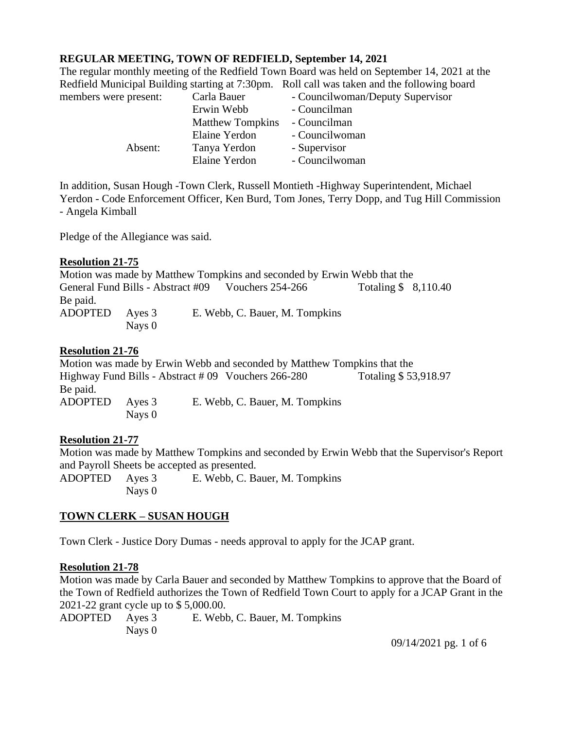## **REGULAR MEETING, TOWN OF REDFIELD, September 14, 2021**

The regular monthly meeting of the Redfield Town Board was held on September 14, 2021 at the Redfield Municipal Building starting at 7:30pm. Roll call was taken and the following board

| members were present: | Carla Bauer             | - Councilwoman/Deputy Supervisor |
|-----------------------|-------------------------|----------------------------------|
|                       | Erwin Webb              | - Councilman                     |
|                       | <b>Matthew Tompkins</b> | - Councilman                     |
|                       | Elaine Yerdon           | - Councilwoman                   |
| Absent:               | Tanya Yerdon            | - Supervisor                     |
|                       | Elaine Yerdon           | - Councilwoman                   |

In addition, Susan Hough -Town Clerk, Russell Montieth -Highway Superintendent, Michael Yerdon - Code Enforcement Officer, Ken Burd, Tom Jones, Terry Dopp, and Tug Hill Commission - Angela Kimball

Pledge of the Allegiance was said.

#### **Resolution 21-75**

Motion was made by Matthew Tompkins and seconded by Erwin Webb that the General Fund Bills - Abstract #09 Vouchers 254-266 Totaling \$ 8,110.40 Be paid. ADOPTED Ayes 3 E. Webb, C. Bauer, M. Tompkins Nays 0

#### **Resolution 21-76**

Motion was made by Erwin Webb and seconded by Matthew Tompkins that the Highway Fund Bills - Abstract # 09 Vouchers 266-280 Totaling \$ 53,918.97 Be paid. ADOPTED Ayes 3 E. Webb, C. Bauer, M. Tompkins Nays 0

## **Resolution 21-77**

Motion was made by Matthew Tompkins and seconded by Erwin Webb that the Supervisor's Report and Payroll Sheets be accepted as presented.

ADOPTED Ayes 3 E. Webb, C. Bauer, M. Tompkins Nays 0

## **TOWN CLERK – SUSAN HOUGH**

Town Clerk - Justice Dory Dumas - needs approval to apply for the JCAP grant.

#### **Resolution 21-78**

Motion was made by Carla Bauer and seconded by Matthew Tompkins to approve that the Board of the Town of Redfield authorizes the Town of Redfield Town Court to apply for a JCAP Grant in the 2021-22 grant cycle up to \$ 5,000.00.

ADOPTED Ayes 3 E. Webb, C. Bauer, M. Tompkins Nays 0

09/14/2021 pg. 1 of 6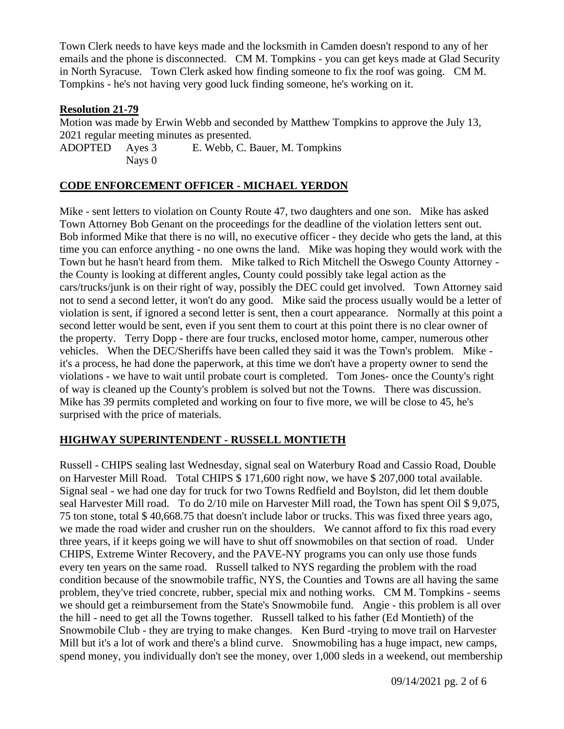Town Clerk needs to have keys made and the locksmith in Camden doesn't respond to any of her emails and the phone is disconnected. CM M. Tompkins - you can get keys made at Glad Security in North Syracuse. Town Clerk asked how finding someone to fix the roof was going. CM M. Tompkins - he's not having very good luck finding someone, he's working on it.

### **Resolution 21-79**

Motion was made by Erwin Webb and seconded by Matthew Tompkins to approve the July 13, 2021 regular meeting minutes as presented.

ADOPTED Ayes 3 E. Webb, C. Bauer, M. Tompkins Nays 0

# **CODE ENFORCEMENT OFFICER - MICHAEL YERDON**

Mike - sent letters to violation on County Route 47, two daughters and one son. Mike has asked Town Attorney Bob Genant on the proceedings for the deadline of the violation letters sent out. Bob informed Mike that there is no will, no executive officer - they decide who gets the land, at this time you can enforce anything - no one owns the land. Mike was hoping they would work with the Town but he hasn't heard from them. Mike talked to Rich Mitchell the Oswego County Attorney the County is looking at different angles, County could possibly take legal action as the cars/trucks/junk is on their right of way, possibly the DEC could get involved. Town Attorney said not to send a second letter, it won't do any good. Mike said the process usually would be a letter of violation is sent, if ignored a second letter is sent, then a court appearance. Normally at this point a second letter would be sent, even if you sent them to court at this point there is no clear owner of the property. Terry Dopp - there are four trucks, enclosed motor home, camper, numerous other vehicles. When the DEC/Sheriffs have been called they said it was the Town's problem. Mike it's a process, he had done the paperwork, at this time we don't have a property owner to send the violations - we have to wait until probate court is completed. Tom Jones- once the County's right of way is cleaned up the County's problem is solved but not the Towns. There was discussion. Mike has 39 permits completed and working on four to five more, we will be close to 45, he's surprised with the price of materials.

## **HIGHWAY SUPERINTENDENT - RUSSELL MONTIETH**

Russell - CHIPS sealing last Wednesday, signal seal on Waterbury Road and Cassio Road, Double on Harvester Mill Road. Total CHIPS \$ 171,600 right now, we have \$ 207,000 total available. Signal seal - we had one day for truck for two Towns Redfield and Boylston, did let them double seal Harvester Mill road. To do 2/10 mile on Harvester Mill road, the Town has spent Oil \$ 9,075, 75 ton stone, total \$ 40,668.75 that doesn't include labor or trucks. This was fixed three years ago, we made the road wider and crusher run on the shoulders. We cannot afford to fix this road every three years, if it keeps going we will have to shut off snowmobiles on that section of road. Under CHIPS, Extreme Winter Recovery, and the PAVE-NY programs you can only use those funds every ten years on the same road. Russell talked to NYS regarding the problem with the road condition because of the snowmobile traffic, NYS, the Counties and Towns are all having the same problem, they've tried concrete, rubber, special mix and nothing works. CM M. Tompkins - seems we should get a reimbursement from the State's Snowmobile fund. Angie - this problem is all over the hill - need to get all the Towns together. Russell talked to his father (Ed Montieth) of the Snowmobile Club - they are trying to make changes. Ken Burd -trying to move trail on Harvester Mill but it's a lot of work and there's a blind curve. Snowmobiling has a huge impact, new camps, spend money, you individually don't see the money, over 1,000 sleds in a weekend, out membership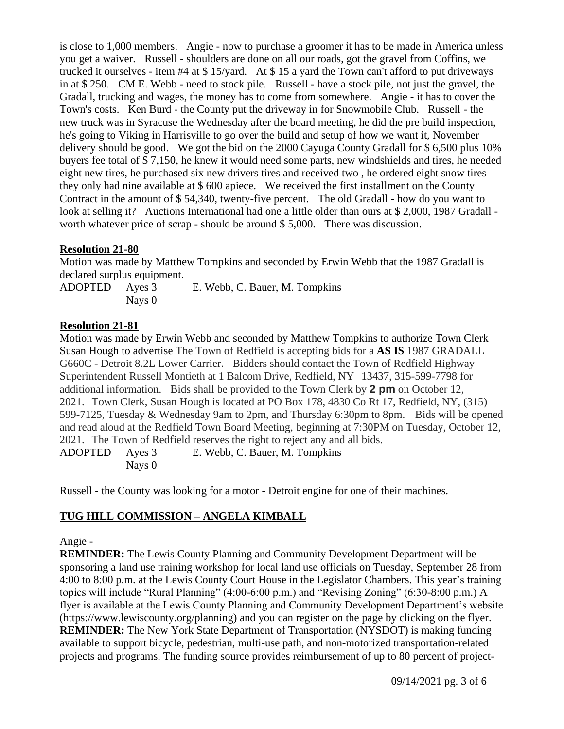is close to 1,000 members. Angie - now to purchase a groomer it has to be made in America unless you get a waiver. Russell - shoulders are done on all our roads, got the gravel from Coffins, we trucked it ourselves - item #4 at \$ 15/yard. At \$ 15 a yard the Town can't afford to put driveways in at \$ 250. CM E. Webb - need to stock pile. Russell - have a stock pile, not just the gravel, the Gradall, trucking and wages, the money has to come from somewhere. Angie - it has to cover the Town's costs. Ken Burd - the County put the driveway in for Snowmobile Club. Russell - the new truck was in Syracuse the Wednesday after the board meeting, he did the pre build inspection, he's going to Viking in Harrisville to go over the build and setup of how we want it, November delivery should be good. We got the bid on the 2000 Cayuga County Gradall for \$ 6,500 plus 10% buyers fee total of \$ 7,150, he knew it would need some parts, new windshields and tires, he needed eight new tires, he purchased six new drivers tires and received two , he ordered eight snow tires they only had nine available at \$ 600 apiece. We received the first installment on the County Contract in the amount of \$ 54,340, twenty-five percent. The old Gradall - how do you want to look at selling it? Auctions International had one a little older than ours at \$ 2,000, 1987 Gradall worth whatever price of scrap - should be around \$ 5,000. There was discussion.

#### **Resolution 21-80**

Motion was made by Matthew Tompkins and seconded by Erwin Webb that the 1987 Gradall is declared surplus equipment.

ADOPTED Ayes 3 E. Webb, C. Bauer, M. Tompkins Nays 0

#### **Resolution 21-81**

Motion was made by Erwin Webb and seconded by Matthew Tompkins to authorize Town Clerk Susan Hough to advertise The Town of Redfield is accepting bids for a **AS IS** 1987 GRADALL G660C - Detroit 8.2L Lower Carrier. Bidders should contact the Town of Redfield Highway Superintendent Russell Montieth at 1 Balcom Drive, Redfield, NY 13437, 315-599-7798 for additional information. Bids shall be provided to the Town Clerk by **2 pm** on October 12, 2021. Town Clerk, Susan Hough is located at PO Box 178, 4830 Co Rt 17, Redfield, NY, (315) 599-7125, Tuesday & Wednesday 9am to 2pm, and Thursday 6:30pm to 8pm. Bids will be opened and read aloud at the Redfield Town Board Meeting, beginning at 7:30PM on Tuesday, October 12, 2021. The Town of Redfield reserves the right to reject any and all bids. ADOPTED Ayes 3 E. Webb, C. Bauer, M. Tompkins Nays 0

Russell - the County was looking for a motor - Detroit engine for one of their machines.

## **TUG HILL COMMISSION – ANGELA KIMBALL**

#### Angie -

**REMINDER:** The Lewis County Planning and Community Development Department will be sponsoring a land use training workshop for local land use officials on Tuesday, September 28 from 4:00 to 8:00 p.m. at the Lewis County Court House in the Legislator Chambers. This year's training topics will include "Rural Planning" (4:00-6:00 p.m.) and "Revising Zoning" (6:30-8:00 p.m.) A flyer is available at the Lewis County Planning and Community Development Department's website (https://www.lewiscounty.org/planning) and you can register on the page by clicking on the flyer. **REMINDER:** The New York State Department of Transportation (NYSDOT) is making funding available to support bicycle, pedestrian, multi-use path, and non-motorized transportation-related projects and programs. The funding source provides reimbursement of up to 80 percent of project-

09/14/2021 pg. 3 of 6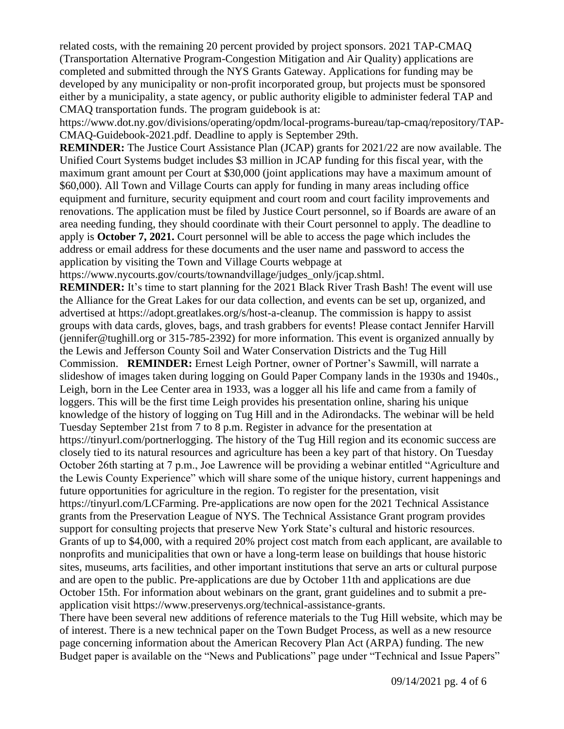related costs, with the remaining 20 percent provided by project sponsors. 2021 TAP-CMAQ (Transportation Alternative Program-Congestion Mitigation and Air Quality) applications are completed and submitted through the NYS Grants Gateway. Applications for funding may be developed by any municipality or non-profit incorporated group, but projects must be sponsored either by a municipality, a state agency, or public authority eligible to administer federal TAP and CMAQ transportation funds. The program guidebook is at:

https://www.dot.ny.gov/divisions/operating/opdm/local-programs-bureau/tap-cmaq/repository/TAP-CMAQ-Guidebook-2021.pdf. Deadline to apply is September 29th.

**REMINDER:** The Justice Court Assistance Plan (JCAP) grants for 2021/22 are now available. The Unified Court Systems budget includes \$3 million in JCAP funding for this fiscal year, with the maximum grant amount per Court at \$30,000 (joint applications may have a maximum amount of \$60,000). All Town and Village Courts can apply for funding in many areas including office equipment and furniture, security equipment and court room and court facility improvements and renovations. The application must be filed by Justice Court personnel, so if Boards are aware of an area needing funding, they should coordinate with their Court personnel to apply. The deadline to apply is **October 7, 2021.** Court personnel will be able to access the page which includes the address or email address for these documents and the user name and password to access the application by visiting the Town and Village Courts webpage at

https://www.nycourts.gov/courts/townandvillage/judges\_only/jcap.shtml.

**REMINDER:** It's time to start planning for the 2021 Black River Trash Bash! The event will use the Alliance for the Great Lakes for our data collection, and events can be set up, organized, and advertised at https://adopt.greatlakes.org/s/host-a-cleanup. The commission is happy to assist groups with data cards, gloves, bags, and trash grabbers for events! Please contact Jennifer Harvill (jennifer@tughill.org or 315-785-2392) for more information. This event is organized annually by the Lewis and Jefferson County Soil and Water Conservation Districts and the Tug Hill Commission. **REMINDER:** Ernest Leigh Portner, owner of Portner's Sawmill, will narrate a slideshow of images taken during logging on Gould Paper Company lands in the 1930s and 1940s., Leigh, born in the Lee Center area in 1933, was a logger all his life and came from a family of loggers. This will be the first time Leigh provides his presentation online, sharing his unique knowledge of the history of logging on Tug Hill and in the Adirondacks. The webinar will be held Tuesday September 21st from 7 to 8 p.m. Register in advance for the presentation at https://tinyurl.com/portnerlogging. The history of the Tug Hill region and its economic success are closely tied to its natural resources and agriculture has been a key part of that history. On Tuesday October 26th starting at 7 p.m., Joe Lawrence will be providing a webinar entitled "Agriculture and the Lewis County Experience" which will share some of the unique history, current happenings and future opportunities for agriculture in the region. To register for the presentation, visit https://tinyurl.com/LCFarming. Pre-applications are now open for the 2021 Technical Assistance grants from the Preservation League of NYS. The Technical Assistance Grant program provides support for consulting projects that preserve New York State's cultural and historic resources. Grants of up to \$4,000, with a required 20% project cost match from each applicant, are available to nonprofits and municipalities that own or have a long-term lease on buildings that house historic sites, museums, arts facilities, and other important institutions that serve an arts or cultural purpose and are open to the public. Pre-applications are due by October 11th and applications are due October 15th. For information about webinars on the grant, grant guidelines and to submit a preapplication visit https://www.preservenys.org/technical-assistance-grants.

There have been several new additions of reference materials to the Tug Hill website, which may be of interest. There is a new technical paper on the Town Budget Process, as well as a new resource page concerning information about the American Recovery Plan Act (ARPA) funding. The new Budget paper is available on the "News and Publications" page under "Technical and Issue Papers"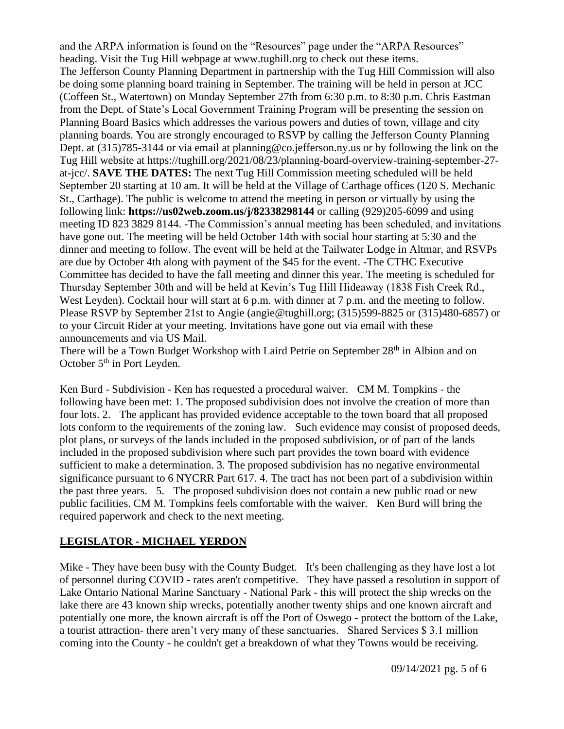and the ARPA information is found on the "Resources" page under the "ARPA Resources" heading. Visit the Tug Hill webpage at www.tughill.org to check out these items. The Jefferson County Planning Department in partnership with the Tug Hill Commission will also be doing some planning board training in September. The training will be held in person at JCC (Coffeen St., Watertown) on Monday September 27th from 6:30 p.m. to 8:30 p.m. Chris Eastman from the Dept. of State's Local Government Training Program will be presenting the session on Planning Board Basics which addresses the various powers and duties of town, village and city planning boards. You are strongly encouraged to RSVP by calling the Jefferson County Planning Dept. at (315)785-3144 or via email at planning@co.jefferson.ny.us or by following the link on the Tug Hill website at https://tughill.org/2021/08/23/planning-board-overview-training-september-27 at-jcc/. **SAVE THE DATES:** The next Tug Hill Commission meeting scheduled will be held September 20 starting at 10 am. It will be held at the Village of Carthage offices (120 S. Mechanic St., Carthage). The public is welcome to attend the meeting in person or virtually by using the following link: **https://us02web.zoom.us/j/82338298144** or calling (929)205-6099 and using meeting ID 823 3829 8144. -The Commission's annual meeting has been scheduled, and invitations have gone out. The meeting will be held October 14th with social hour starting at 5:30 and the dinner and meeting to follow. The event will be held at the Tailwater Lodge in Altmar, and RSVPs are due by October 4th along with payment of the \$45 for the event. -The CTHC Executive Committee has decided to have the fall meeting and dinner this year. The meeting is scheduled for Thursday September 30th and will be held at Kevin's Tug Hill Hideaway (1838 Fish Creek Rd., West Leyden). Cocktail hour will start at 6 p.m. with dinner at 7 p.m. and the meeting to follow. Please RSVP by September 21st to Angie (angie@tughill.org; (315)599-8825 or (315)480-6857) or to your Circuit Rider at your meeting. Invitations have gone out via email with these announcements and via US Mail.

There will be a Town Budget Workshop with Laird Petrie on September 28<sup>th</sup> in Albion and on October 5<sup>th</sup> in Port Leyden.

Ken Burd - Subdivision - Ken has requested a procedural waiver. CM M. Tompkins - the following have been met: 1. The proposed subdivision does not involve the creation of more than four lots. 2. The applicant has provided evidence acceptable to the town board that all proposed lots conform to the requirements of the zoning law. Such evidence may consist of proposed deeds, plot plans, or surveys of the lands included in the proposed subdivision, or of part of the lands included in the proposed subdivision where such part provides the town board with evidence sufficient to make a determination. 3. The proposed subdivision has no negative environmental significance pursuant to 6 NYCRR Part 617. 4. The tract has not been part of a subdivision within the past three years. 5. The proposed subdivision does not contain a new public road or new public facilities. CM M. Tompkins feels comfortable with the waiver. Ken Burd will bring the required paperwork and check to the next meeting.

## **LEGISLATOR - MICHAEL YERDON**

Mike - They have been busy with the County Budget. It's been challenging as they have lost a lot of personnel during COVID - rates aren't competitive. They have passed a resolution in support of Lake Ontario National Marine Sanctuary - National Park - this will protect the ship wrecks on the lake there are 43 known ship wrecks, potentially another twenty ships and one known aircraft and potentially one more, the known aircraft is off the Port of Oswego - protect the bottom of the Lake, a tourist attraction- there aren't very many of these sanctuaries. Shared Services \$ 3.1 million coming into the County - he couldn't get a breakdown of what they Towns would be receiving.